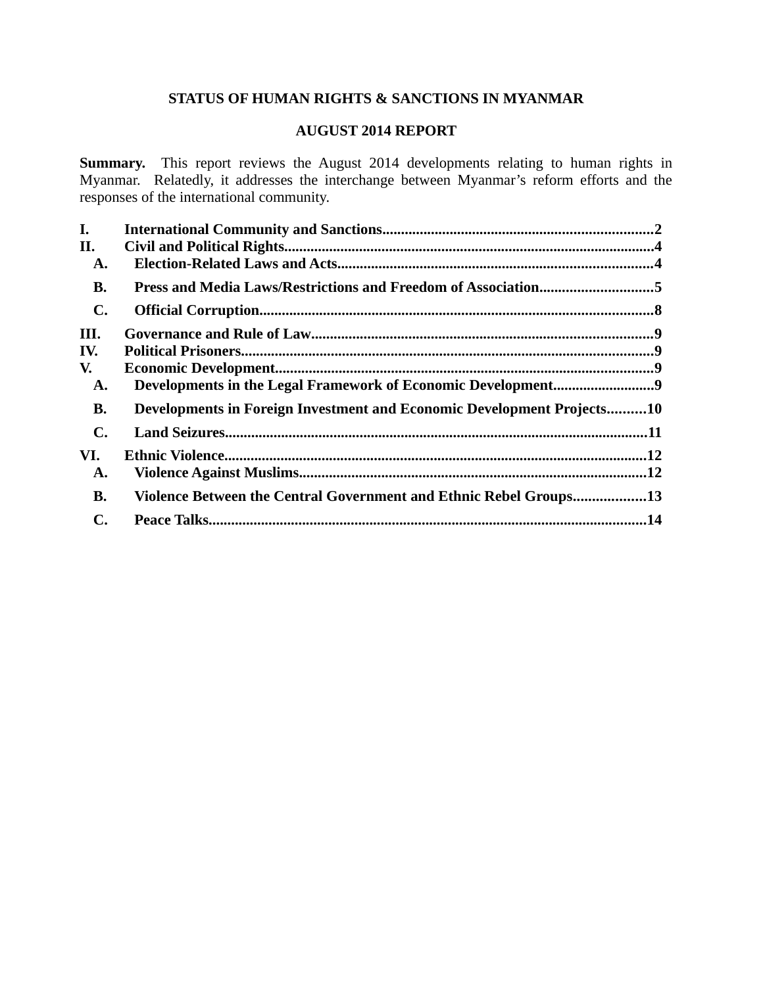# **STATUS OF HUMAN RIGHTS & SANCTIONS IN MYANMAR**

# **AUGUST 2014 REPORT**

**Summary.** This report reviews the August 2014 developments relating to human rights in Myanmar. Relatedly, it addresses the interchange between Myanmar's reform efforts and the responses of the international community.

| L.             |                                                                        |  |
|----------------|------------------------------------------------------------------------|--|
| II.            |                                                                        |  |
| A.             |                                                                        |  |
| <b>B.</b>      | Press and Media Laws/Restrictions and Freedom of Association5          |  |
| $\mathbf{C}$ . |                                                                        |  |
| III.           |                                                                        |  |
| IV.            |                                                                        |  |
| V.             |                                                                        |  |
| A.             |                                                                        |  |
| <b>B.</b>      | Developments in Foreign Investment and Economic Development Projects10 |  |
| $\mathbf{C}$ . |                                                                        |  |
| VI.            |                                                                        |  |
| A.             |                                                                        |  |
| <b>B.</b>      | Violence Between the Central Government and Ethnic Rebel Groups13      |  |
| C.             |                                                                        |  |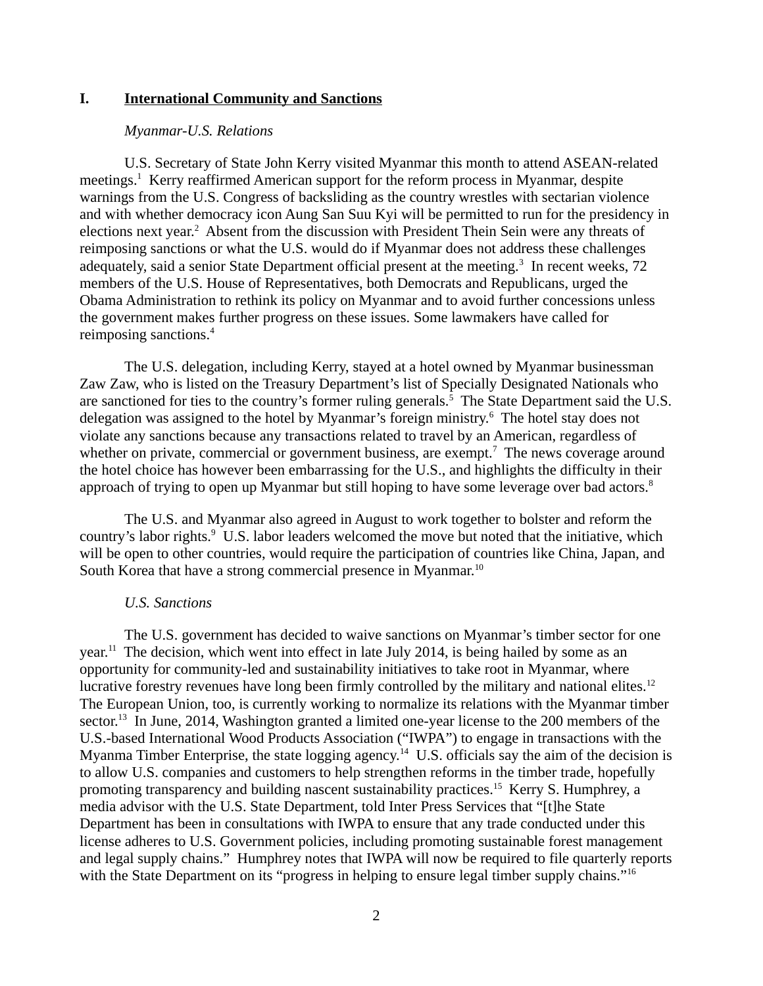#### **I. International Community and Sanctions**

#### *Myanmar-U.S. Relations*

U.S. Secretary of State John Kerry visited Myanmar this month to attend ASEAN-related meetings.<sup>1</sup> Kerry reaffirmed American support for the reform process in Myanmar, despite warnings from the U.S. Congress of backsliding as the country wrestles with sectarian violence and with whether democracy icon Aung San Suu Kyi will be permitted to run for the presidency in elections next year.<sup>2</sup> Absent from the discussion with President Thein Sein were any threats of reimposing sanctions or what the U.S. would do if Myanmar does not address these challenges adequately, said a senior State Department official present at the meeting.<sup>3</sup> In recent weeks, 72 members of the U.S. House of Representatives, both Democrats and Republicans, urged the Obama Administration to rethink its policy on Myanmar and to avoid further concessions unless the government makes further progress on these issues. Some lawmakers have called for reimposing sanctions.<sup>4</sup>

The U.S. delegation, including Kerry, stayed at a hotel owned by Myanmar businessman Zaw Zaw, who is listed on the Treasury Department's list of Specially Designated Nationals who are sanctioned for ties to the country's former ruling generals.<sup>5</sup> The State Department said the U.S. delegation was assigned to the hotel by Myanmar's foreign ministry.<sup>6</sup> The hotel stay does not violate any sanctions because any transactions related to travel by an American, regardless of whether on private, commercial or government business, are exempt.<sup>7</sup> The news coverage around the hotel choice has however been embarrassing for the U.S., and highlights the difficulty in their approach of trying to open up Myanmar but still hoping to have some leverage over bad actors.<sup>8</sup>

The U.S. and Myanmar also agreed in August to work together to bolster and reform the country's labor rights.<sup>9</sup> U.S. labor leaders welcomed the move but noted that the initiative, which will be open to other countries, would require the participation of countries like China, Japan, and South Korea that have a strong commercial presence in Myanmar.<sup>10</sup>

#### *U.S. Sanctions*

The U.S. government has decided to waive sanctions on Myanmar's timber sector for one year.<sup>11</sup> The decision, which went into effect in late July 2014, is being hailed by some as an opportunity for community-led and sustainability initiatives to take root in Myanmar, where lucrative forestry revenues have long been firmly controlled by the military and national elites.<sup>12</sup> The European Union, too, is currently working to normalize its relations with the Myanmar timber sector.<sup>13</sup> In June, 2014, Washington granted a limited one-year license to the 200 members of the U.S.-based International Wood Products Association ("IWPA") to engage in transactions with the Myanma Timber Enterprise, the state logging agency.<sup>14</sup> U.S. officials say the aim of the decision is to allow U.S. companies and customers to help strengthen reforms in the timber trade, hopefully promoting transparency and building nascent sustainability practices.<sup>15</sup> Kerry S. Humphrey, a media advisor with the U.S. State Department, told Inter Press Services that "[t]he State Department has been in consultations with IWPA to ensure that any trade conducted under this license adheres to U.S. Government policies, including promoting sustainable forest management and legal supply chains." Humphrey notes that IWPA will now be required to file quarterly reports with the State Department on its "progress in helping to ensure legal timber supply chains."<sup>16</sup>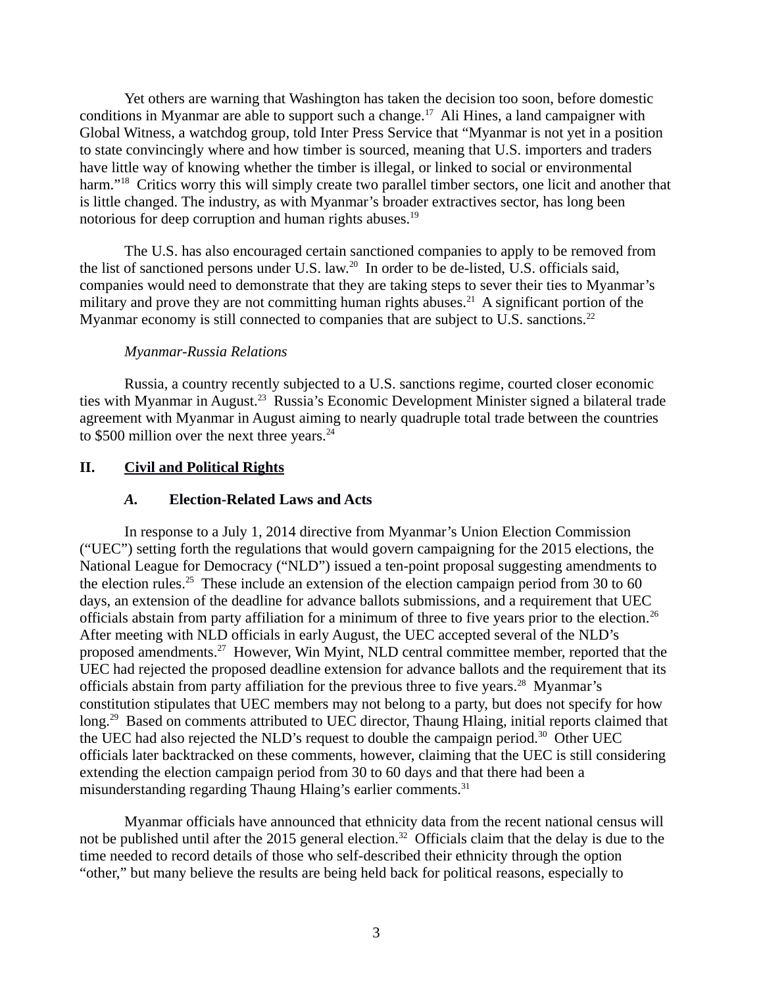Yet others are warning that Washington has taken the decision too soon, before domestic conditions in Myanmar are able to support such a change.<sup>17</sup> Ali Hines, a land campaigner with Global Witness, a watchdog group, told Inter Press Service that "Myanmar is not yet in a position to state convincingly where and how timber is sourced, meaning that U.S. importers and traders have little way of knowing whether the timber is illegal, or linked to social or environmental harm."<sup>18</sup> Critics worry this will simply create two parallel timber sectors, one licit and another that is little changed. The industry, as with Myanmar's broader extractives sector, has long been notorious for deep corruption and human rights abuses.<sup>19</sup>

The U.S. has also encouraged certain sanctioned companies to apply to be removed from the list of sanctioned persons under U.S. law.<sup>20</sup> In order to be de-listed, U.S. officials said, companies would need to demonstrate that they are taking steps to sever their ties to Myanmar's military and prove they are not committing human rights abuses.<sup>21</sup> A significant portion of the Myanmar economy is still connected to companies that are subject to U.S. sanctions.<sup>22</sup>

#### *Myanmar-Russia Relations*

Russia, a country recently subjected to a U.S. sanctions regime, courted closer economic ties with Myanmar in August.<sup>23</sup> Russia's Economic Development Minister signed a bilateral trade agreement with Myanmar in August aiming to nearly quadruple total trade between the countries to \$500 million over the next three years. $24$ 

#### **II. Civil and Political Rights**

#### *A.* **Election-Related Laws and Acts**

In response to a July 1, 2014 directive from Myanmar's Union Election Commission ("UEC") setting forth the regulations that would govern campaigning for the 2015 elections, the National League for Democracy ("NLD") issued a ten-point proposal suggesting amendments to the election rules.<sup>25</sup> These include an extension of the election campaign period from 30 to 60 days, an extension of the deadline for advance ballots submissions, and a requirement that UEC officials abstain from party affiliation for a minimum of three to five years prior to the election.<sup>26</sup> After meeting with NLD officials in early August, the UEC accepted several of the NLD's proposed amendments.<sup>27</sup> However, Win Myint, NLD central committee member, reported that the UEC had rejected the proposed deadline extension for advance ballots and the requirement that its officials abstain from party affiliation for the previous three to five years.<sup>28</sup> Myanmar's constitution stipulates that UEC members may not belong to a party, but does not specify for how long.<sup>29</sup> Based on comments attributed to UEC director, Thaung Hlaing, initial reports claimed that the UEC had also rejected the NLD's request to double the campaign period. $30$  Other UEC officials later backtracked on these comments, however, claiming that the UEC is still considering extending the election campaign period from 30 to 60 days and that there had been a misunderstanding regarding Thaung Hlaing's earlier comments. $31$ 

Myanmar officials have announced that ethnicity data from the recent national census will not be published until after the 2015 general election.<sup>32</sup> Officials claim that the delay is due to the time needed to record details of those who self-described their ethnicity through the option "other," but many believe the results are being held back for political reasons, especially to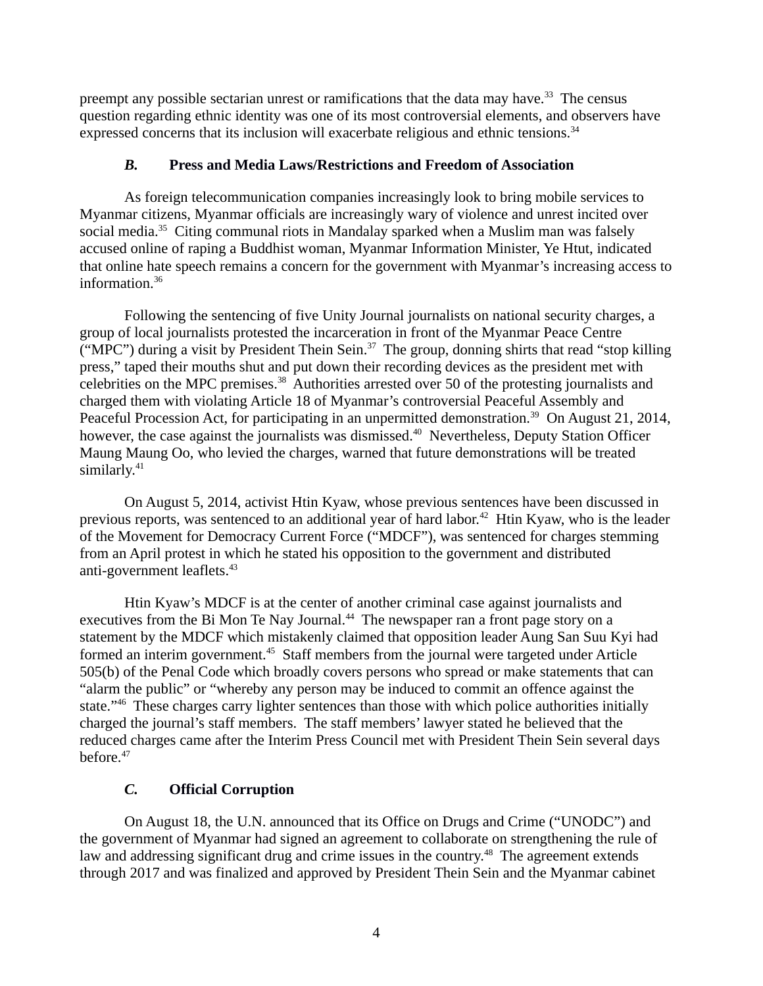preempt any possible sectarian unrest or ramifications that the data may have.<sup>33</sup> The census question regarding ethnic identity was one of its most controversial elements, and observers have expressed concerns that its inclusion will exacerbate religious and ethnic tensions.<sup>34</sup>

#### *B.* **Press and Media Laws/Restrictions and Freedom of Association**

As foreign telecommunication companies increasingly look to bring mobile services to Myanmar citizens, Myanmar officials are increasingly wary of violence and unrest incited over social media.<sup>35</sup> Citing communal riots in Mandalay sparked when a Muslim man was falsely accused online of raping a Buddhist woman, Myanmar Information Minister, Ye Htut, indicated that online hate speech remains a concern for the government with Myanmar's increasing access to information.<sup>36</sup>

Following the sentencing of five Unity Journal journalists on national security charges, a group of local journalists protested the incarceration in front of the Myanmar Peace Centre ("MPC") during a visit by President Thein Sein.<sup>37</sup> The group, donning shirts that read "stop killing press," taped their mouths shut and put down their recording devices as the president met with celebrities on the MPC premises.<sup>38</sup> Authorities arrested over 50 of the protesting journalists and charged them with violating Article 18 of Myanmar's controversial Peaceful Assembly and Peaceful Procession Act, for participating in an unpermitted demonstration.<sup>39</sup> On August 21, 2014, however, the case against the journalists was dismissed.<sup>40</sup> Nevertheless, Deputy Station Officer Maung Maung Oo, who levied the charges, warned that future demonstrations will be treated similarly.<sup>41</sup>

On August 5, 2014, activist Htin Kyaw, whose previous sentences have been discussed in previous reports, was sentenced to an additional year of hard labor.<sup>42</sup> Htin Kyaw, who is the leader of the Movement for Democracy Current Force ("MDCF"), was sentenced for charges stemming from an April protest in which he stated his opposition to the government and distributed anti-government leaflets.<sup>43</sup>

Htin Kyaw's MDCF is at the center of another criminal case against journalists and executives from the Bi Mon Te Nay Journal.<sup>44</sup> The newspaper ran a front page story on a statement by the MDCF which mistakenly claimed that opposition leader Aung San Suu Kyi had formed an interim government.<sup>45</sup> Staff members from the journal were targeted under Article 505(b) of the Penal Code which broadly covers persons who spread or make statements that can "alarm the public" or "whereby any person may be induced to commit an offence against the state."<sup>46</sup> These charges carry lighter sentences than those with which police authorities initially charged the journal's staff members. The staff members' lawyer stated he believed that the reduced charges came after the Interim Press Council met with President Thein Sein several days before.<sup>47</sup>

# *C.* **Official Corruption**

On August 18, the U.N. announced that its Office on Drugs and Crime ("UNODC") and the government of Myanmar had signed an agreement to collaborate on strengthening the rule of law and addressing significant drug and crime issues in the country.<sup>48</sup> The agreement extends through 2017 and was finalized and approved by President Thein Sein and the Myanmar cabinet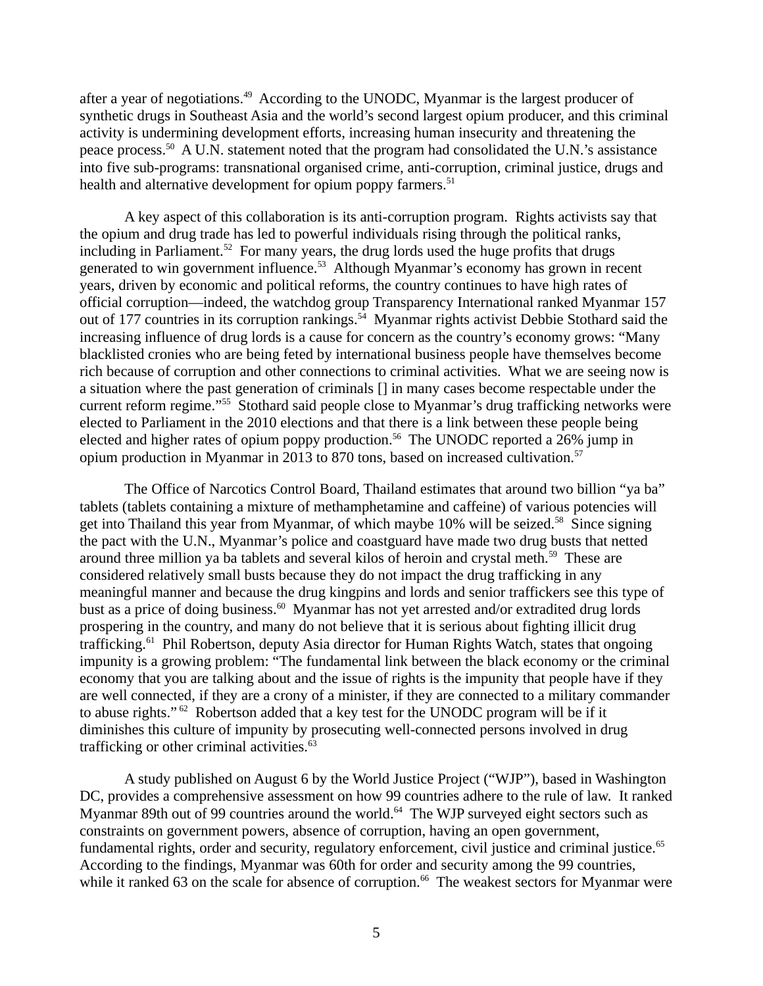after a year of negotiations.<sup>49</sup> According to the UNODC, Myanmar is the largest producer of synthetic drugs in Southeast Asia and the world's second largest opium producer, and this criminal activity is undermining development efforts, increasing human insecurity and threatening the peace process.<sup>50</sup> A U.N. statement noted that the program had consolidated the U.N.'s assistance into five sub-programs: transnational organised crime, anti-corruption, criminal justice, drugs and health and alternative development for opium poppy farmers.<sup>51</sup>

A key aspect of this collaboration is its anti-corruption program. Rights activists say that the opium and drug trade has led to powerful individuals rising through the political ranks, including in Parliament.<sup>52</sup> For many years, the drug lords used the huge profits that drugs generated to win government influence.<sup>53</sup> Although Myanmar's economy has grown in recent years, driven by economic and political reforms, the country continues to have high rates of official corruption—indeed, the watchdog group Transparency International ranked Myanmar 157 out of 177 countries in its corruption rankings.<sup>54</sup> Myanmar rights activist Debbie Stothard said the increasing influence of drug lords is a cause for concern as the country's economy grows: "Many blacklisted cronies who are being feted by international business people have themselves become rich because of corruption and other connections to criminal activities. What we are seeing now is a situation where the past generation of criminals [] in many cases become respectable under the current reform regime."<sup>55</sup> Stothard said people close to Myanmar's drug trafficking networks were elected to Parliament in the 2010 elections and that there is a link between these people being elected and higher rates of opium poppy production.<sup>56</sup> The UNODC reported a  $26\%$  jump in opium production in Myanmar in 2013 to 870 tons, based on increased cultivation.<sup>57</sup>

The Office of Narcotics Control Board, Thailand estimates that around two billion "ya ba" tablets (tablets containing a mixture of methamphetamine and caffeine) of various potencies will get into Thailand this year from Myanmar, of which maybe  $10\%$  will be seized.<sup>58</sup> Since signing the pact with the U.N., Myanmar's police and coastguard have made two drug busts that netted around three million ya ba tablets and several kilos of heroin and crystal meth.<sup>59</sup> These are considered relatively small busts because they do not impact the drug trafficking in any meaningful manner and because the drug kingpins and lords and senior traffickers see this type of bust as a price of doing business.<sup>60</sup> Myanmar has not yet arrested and/or extradited drug lords prospering in the country, and many do not believe that it is serious about fighting illicit drug trafficking.<sup>61</sup> Phil Robertson, deputy Asia director for Human Rights Watch, states that ongoing impunity is a growing problem: "The fundamental link between the black economy or the criminal economy that you are talking about and the issue of rights is the impunity that people have if they are well connected, if they are a crony of a minister, if they are connected to a military commander to abuse rights." <sup>62</sup> Robertson added that a key test for the UNODC program will be if it diminishes this culture of impunity by prosecuting well-connected persons involved in drug trafficking or other criminal activities. $63$ 

A study published on August 6 by the World Justice Project ("WJP"), based in Washington DC, provides a comprehensive assessment on how 99 countries adhere to the rule of law. It ranked Myanmar 89th out of 99 countries around the world.<sup>64</sup> The WJP surveyed eight sectors such as constraints on government powers, absence of corruption, having an open government, fundamental rights, order and security, regulatory enforcement, civil justice and criminal justice.<sup>65</sup> According to the findings, Myanmar was 60th for order and security among the 99 countries, while it ranked 63 on the scale for absence of corruption.<sup>66</sup> The weakest sectors for Myanmar were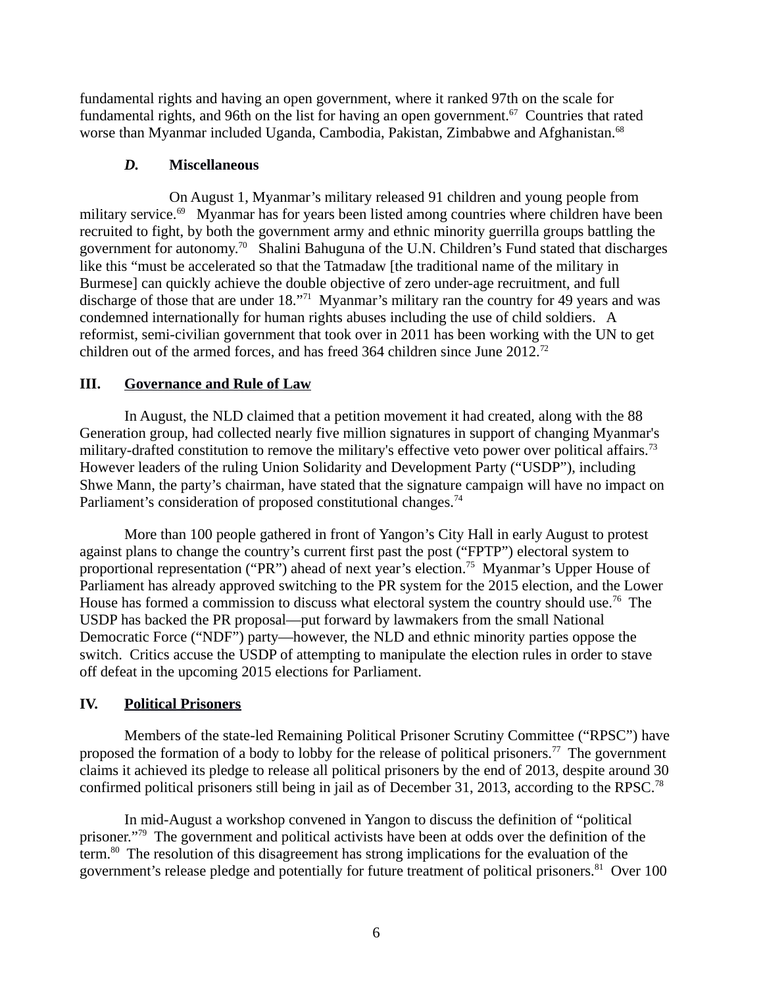fundamental rights and having an open government, where it ranked 97th on the scale for fundamental rights, and 96th on the list for having an open government.<sup>67</sup> Countries that rated worse than Myanmar included Uganda, Cambodia, Pakistan, Zimbabwe and Afghanistan.<sup>68</sup>

#### *D.* **Miscellaneous**

On August 1, Myanmar's military released 91 children and young people from military service. $69$  Myanmar has for years been listed among countries where children have been recruited to fight, by both the government army and ethnic minority guerrilla groups battling the government for autonomy.<sup>70</sup> Shalini Bahuguna of the U.N. Children's Fund stated that discharges like this "must be accelerated so that the Tatmadaw [the traditional name of the military in Burmese] can quickly achieve the double objective of zero under-age recruitment, and full discharge of those that are under 18."<sup>71</sup> Myanmar's military ran the country for 49 years and was condemned internationally for human rights abuses including the use of child soldiers. A reformist, semi-civilian government that took over in 2011 has been working with the UN to get children out of the armed forces, and has freed 364 children since June 2012.<sup>72</sup>

# **III. Governance and Rule of Law**

In August, the NLD claimed that a petition movement it had created, along with the 88 Generation group, had collected nearly five million signatures in support of changing Myanmar's military-drafted constitution to remove the military's effective veto power over political affairs.<sup>73</sup> However leaders of the ruling Union Solidarity and Development Party ("USDP"), including Shwe Mann, the party's chairman, have stated that the signature campaign will have no impact on Parliament's consideration of proposed constitutional changes.<sup>74</sup>

More than 100 people gathered in front of Yangon's City Hall in early August to protest against plans to change the country's current first past the post ("FPTP") electoral system to proportional representation ("PR") ahead of next year's election.<sup>75</sup> Myanmar's Upper House of Parliament has already approved switching to the PR system for the 2015 election, and the Lower House has formed a commission to discuss what electoral system the country should use.<sup>76</sup> The USDP has backed the PR proposal—put forward by lawmakers from the small National Democratic Force ("NDF") party—however, the NLD and ethnic minority parties oppose the switch. Critics accuse the USDP of attempting to manipulate the election rules in order to stave off defeat in the upcoming 2015 elections for Parliament.

# **IV. Political Prisoners**

Members of the state-led Remaining Political Prisoner Scrutiny Committee ("RPSC") have proposed the formation of a body to lobby for the release of political prisoners.<sup>77</sup> The government claims it achieved its pledge to release all political prisoners by the end of 2013, despite around 30 confirmed political prisoners still being in jail as of December 31, 2013, according to the RPSC.<sup>78</sup>

In mid-August a workshop convened in Yangon to discuss the definition of "political prisoner."<sup>79</sup> The government and political activists have been at odds over the definition of the term.<sup>80</sup> The resolution of this disagreement has strong implications for the evaluation of the government's release pledge and potentially for future treatment of political prisoners. $81$  Over 100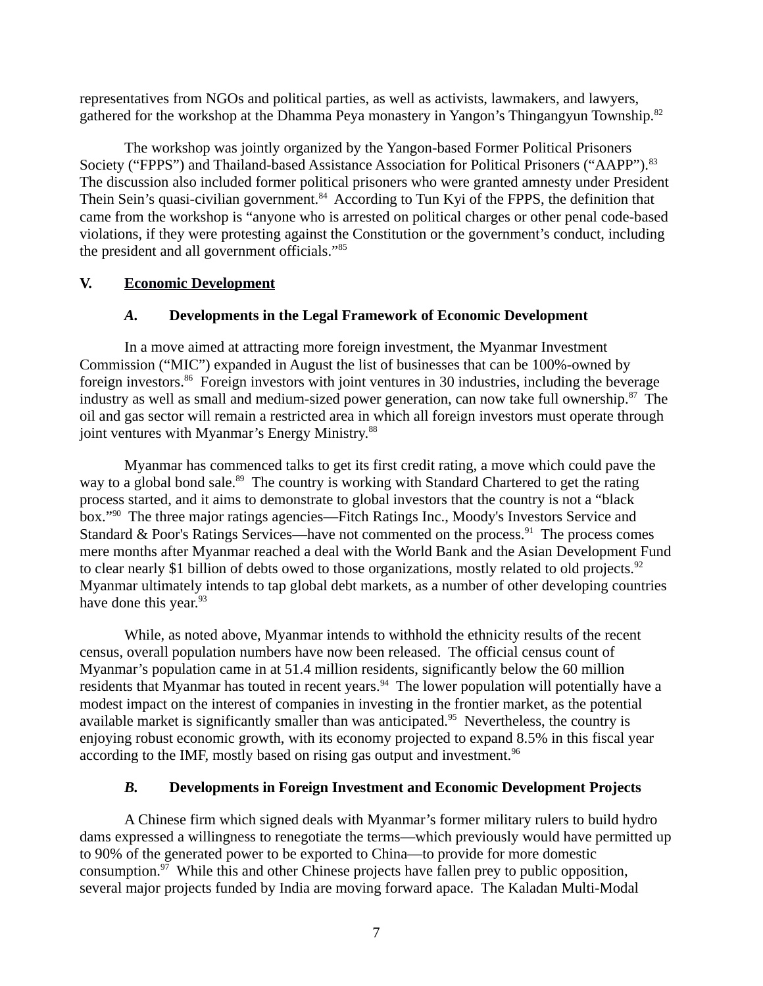representatives from NGOs and political parties, as well as activists, lawmakers, and lawyers, gathered for the workshop at the Dhamma Peya monastery in Yangon's Thingangyun Township.<sup>82</sup>

The workshop was jointly organized by the Yangon-based Former Political Prisoners Society ("FPPS") and Thailand-based Assistance Association for Political Prisoners ("AAPP").<sup>83</sup> The discussion also included former political prisoners who were granted amnesty under President Thein Sein's quasi-civilian government.<sup>84</sup> According to Tun Kyi of the FPPS, the definition that came from the workshop is "anyone who is arrested on political charges or other penal code-based violations, if they were protesting against the Constitution or the government's conduct, including the president and all government officials."<sup>85</sup>

# **V. Economic Development**

# *A.* **Developments in the Legal Framework of Economic Development**

In a move aimed at attracting more foreign investment, the Myanmar Investment Commission ("MIC") expanded in August the list of businesses that can be 100%-owned by foreign investors.<sup>86</sup> Foreign investors with joint ventures in 30 industries, including the beverage industry as well as small and medium-sized power generation, can now take full ownership.<sup>87</sup> The oil and gas sector will remain a restricted area in which all foreign investors must operate through joint ventures with Myanmar's Energy Ministry.<sup>88</sup>

Myanmar has commenced talks to get its first credit rating, a move which could pave the way to a global bond sale.<sup>89</sup> The country is working with Standard Chartered to get the rating process started, and it aims to demonstrate to global investors that the country is not a "black box."<sup>90</sup> The three major ratings agencies—Fitch Ratings Inc., Moody's Investors Service and Standard & Poor's Ratings Services—have not commented on the process.<sup>91</sup> The process comes mere months after Myanmar reached a deal with the World Bank and the Asian Development Fund to clear nearly \$1 billion of debts owed to those organizations, mostly related to old projects. $92$ Myanmar ultimately intends to tap global debt markets, as a number of other developing countries have done this year.<sup>93</sup>

While, as noted above, Myanmar intends to withhold the ethnicity results of the recent census, overall population numbers have now been released. The official census count of Myanmar's population came in at 51.4 million residents, significantly below the 60 million residents that Myanmar has touted in recent years.<sup>94</sup> The lower population will potentially have a modest impact on the interest of companies in investing in the frontier market, as the potential available market is significantly smaller than was anticipated.<sup>95</sup> Nevertheless, the country is enjoying robust economic growth, with its economy projected to expand 8.5% in this fiscal year according to the IMF, mostly based on rising gas output and investment.  $96$ 

# *B.* **Developments in Foreign Investment and Economic Development Projects**

A Chinese firm which signed deals with Myanmar's former military rulers to build hydro dams expressed a willingness to renegotiate the terms—which previously would have permitted up to 90% of the generated power to be exported to China—to provide for more domestic consumption.<sup>97</sup> While this and other Chinese projects have fallen prey to public opposition, several major projects funded by India are moving forward apace. The Kaladan Multi-Modal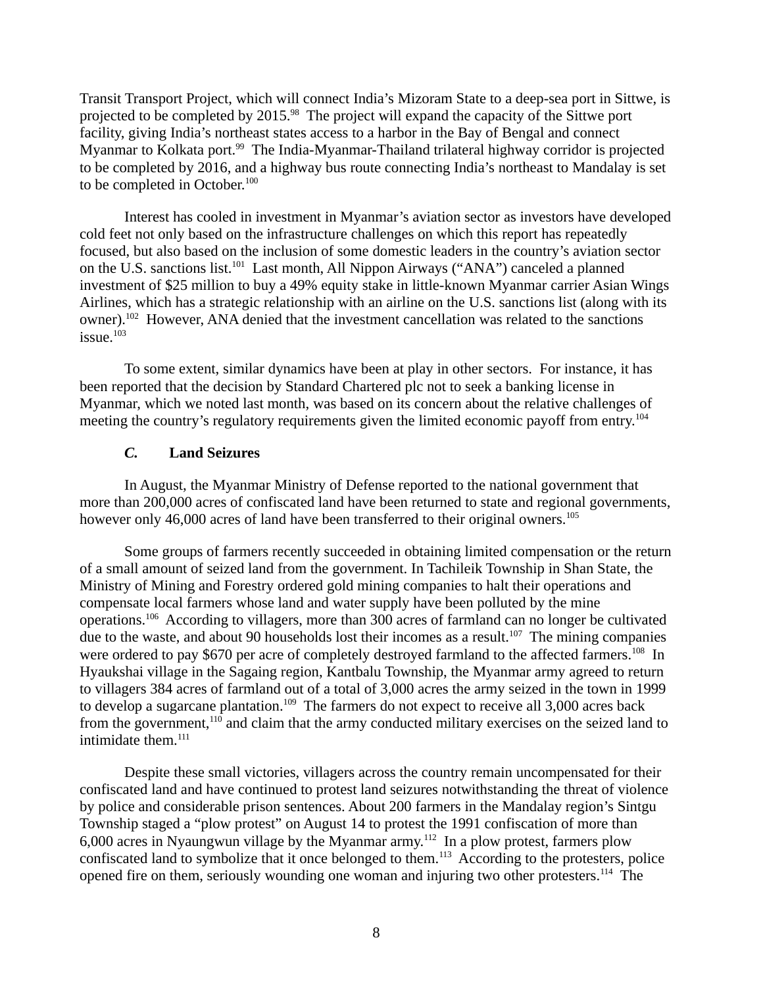Transit Transport Project, which will connect India's Mizoram State to a deep-sea port in Sittwe, is projected to be completed by 2015.<sup>98</sup> The project will expand the capacity of the Sittwe port facility, giving India's northeast states access to a harbor in the Bay of Bengal and connect Myanmar to Kolkata port.<sup>99</sup> The India-Myanmar-Thailand trilateral highway corridor is projected to be completed by 2016, and a highway bus route connecting India's northeast to Mandalay is set to be completed in October.<sup>100</sup>

Interest has cooled in investment in Myanmar's aviation sector as investors have developed cold feet not only based on the infrastructure challenges on which this report has repeatedly focused, but also based on the inclusion of some domestic leaders in the country's aviation sector on the U.S. sanctions list.<sup>101</sup> Last month, All Nippon Airways ("ANA") canceled a planned investment of \$25 million to buy a 49% equity stake in little-known Myanmar carrier Asian Wings Airlines, which has a strategic relationship with an airline on the U.S. sanctions list (along with its owner).<sup>102</sup> However, ANA denied that the investment cancellation was related to the sanctions  $i$ ssue. $103$ 

To some extent, similar dynamics have been at play in other sectors. For instance, it has been reported that the decision by Standard Chartered plc not to seek a banking license in Myanmar, which we noted last month, was based on its concern about the relative challenges of meeting the country's regulatory requirements given the limited economic payoff from entry.<sup>104</sup>

#### *C.* **Land Seizures**

In August, the Myanmar Ministry of Defense reported to the national government that more than 200,000 acres of confiscated land have been returned to state and regional governments, however only 46,000 acres of land have been transferred to their original owners.<sup>105</sup>

Some groups of farmers recently succeeded in obtaining limited compensation or the return of a small amount of seized land from the government. In Tachileik Township in Shan State, the Ministry of Mining and Forestry ordered gold mining companies to halt their operations and compensate local farmers whose land and water supply have been polluted by the mine operations.<sup>106</sup> According to villagers, more than 300 acres of farmland can no longer be cultivated due to the waste, and about 90 households lost their incomes as a result.<sup>107</sup> The mining companies were ordered to pay \$670 per acre of completely destroyed farmland to the affected farmers.<sup>108</sup> In Hyaukshai village in the Sagaing region, Kantbalu Township, the Myanmar army agreed to return to villagers 384 acres of farmland out of a total of 3,000 acres the army seized in the town in 1999 to develop a sugarcane plantation.<sup>109</sup> The farmers do not expect to receive all 3,000 acres back from the government,<sup>110</sup> and claim that the army conducted military exercises on the seized land to intimidate them.<sup>111</sup>

Despite these small victories, villagers across the country remain uncompensated for their confiscated land and have continued to protest land seizures notwithstanding the threat of violence by police and considerable prison sentences. About 200 farmers in the Mandalay region's Sintgu Township staged a "plow protest" on August 14 to protest the 1991 confiscation of more than 6,000 acres in Nyaungwun village by the Myanmar army.<sup>112</sup> In a plow protest, farmers plow confiscated land to symbolize that it once belonged to them.<sup>113</sup> According to the protesters, police opened fire on them, seriously wounding one woman and injuring two other protesters.<sup>114</sup> The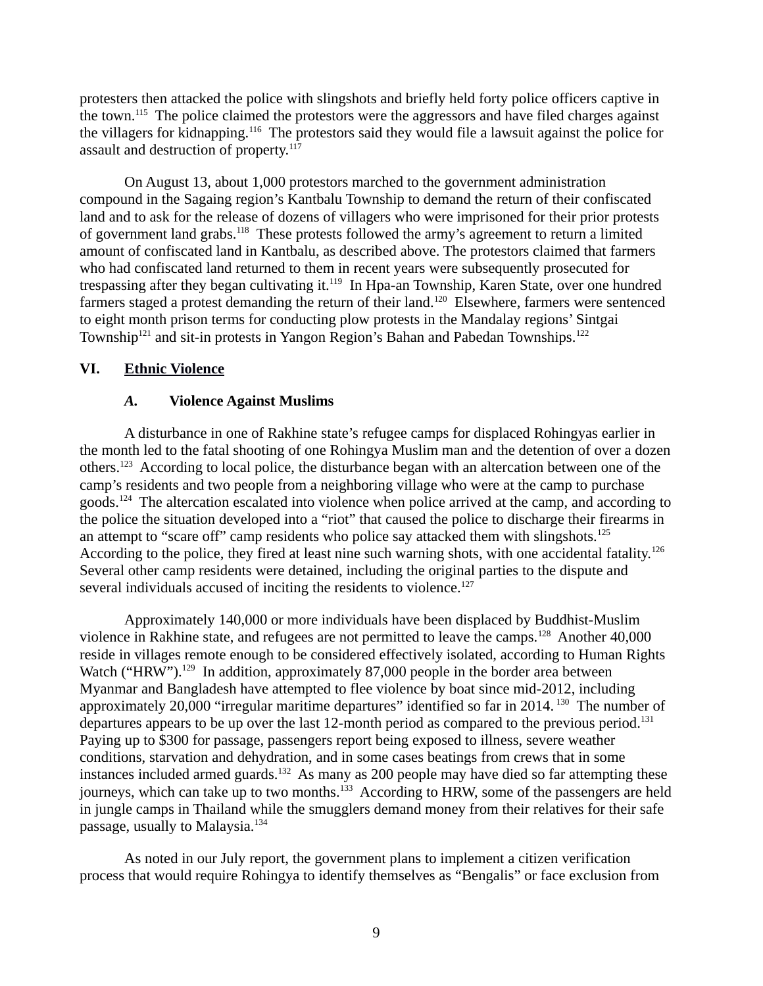protesters then attacked the police with slingshots and briefly held forty police officers captive in the town.<sup>115</sup> The police claimed the protestors were the aggressors and have filed charges against the villagers for kidnapping.<sup>116</sup> The protestors said they would file a lawsuit against the police for assault and destruction of property.<sup>117</sup>

On August 13, about 1,000 protestors marched to the government administration compound in the Sagaing region's Kantbalu Township to demand the return of their confiscated land and to ask for the release of dozens of villagers who were imprisoned for their prior protests of government land grabs.<sup>118</sup> These protests followed the army's agreement to return a limited amount of confiscated land in Kantbalu, as described above. The protestors claimed that farmers who had confiscated land returned to them in recent years were subsequently prosecuted for trespassing after they began cultivating it.<sup>119</sup> In Hpa-an Township, Karen State, over one hundred farmers staged a protest demanding the return of their land.<sup>120</sup> Elsewhere, farmers were sentenced to eight month prison terms for conducting plow protests in the Mandalay regions' Sintgai Township<sup>121</sup> and sit-in protests in Yangon Region's Bahan and Pabedan Townships.<sup>122</sup>

#### **VI. Ethnic Violence**

#### *A.* **Violence Against Muslims**

A disturbance in one of Rakhine state's refugee camps for displaced Rohingyas earlier in the month led to the fatal shooting of one Rohingya Muslim man and the detention of over a dozen others.<sup>123</sup> According to local police, the disturbance began with an altercation between one of the camp's residents and two people from a neighboring village who were at the camp to purchase goods.<sup>124</sup> The altercation escalated into violence when police arrived at the camp, and according to the police the situation developed into a "riot" that caused the police to discharge their firearms in an attempt to "scare off" camp residents who police say attacked them with slingshots. $125$ According to the police, they fired at least nine such warning shots, with one accidental fatality.<sup>126</sup> Several other camp residents were detained, including the original parties to the dispute and several individuals accused of inciting the residents to violence.<sup>127</sup>

Approximately 140,000 or more individuals have been displaced by Buddhist-Muslim violence in Rakhine state, and refugees are not permitted to leave the camps.<sup>128</sup> Another 40,000 reside in villages remote enough to be considered effectively isolated, according to Human Rights Watch ("HRW").<sup>129</sup> In addition, approximately 87,000 people in the border area between Myanmar and Bangladesh have attempted to flee violence by boat since mid-2012, including approximately 20,000 "irregular maritime departures" identified so far in 2014.<sup>130</sup> The number of departures appears to be up over the last 12-month period as compared to the previous period.<sup>131</sup> Paying up to \$300 for passage, passengers report being exposed to illness, severe weather conditions, starvation and dehydration, and in some cases beatings from crews that in some instances included armed guards.<sup>132</sup> As many as 200 people may have died so far attempting these journeys, which can take up to two months.<sup>133</sup> According to HRW, some of the passengers are held in jungle camps in Thailand while the smugglers demand money from their relatives for their safe passage, usually to Malaysia.<sup>134</sup>

As noted in our July report, the government plans to implement a citizen verification process that would require Rohingya to identify themselves as "Bengalis" or face exclusion from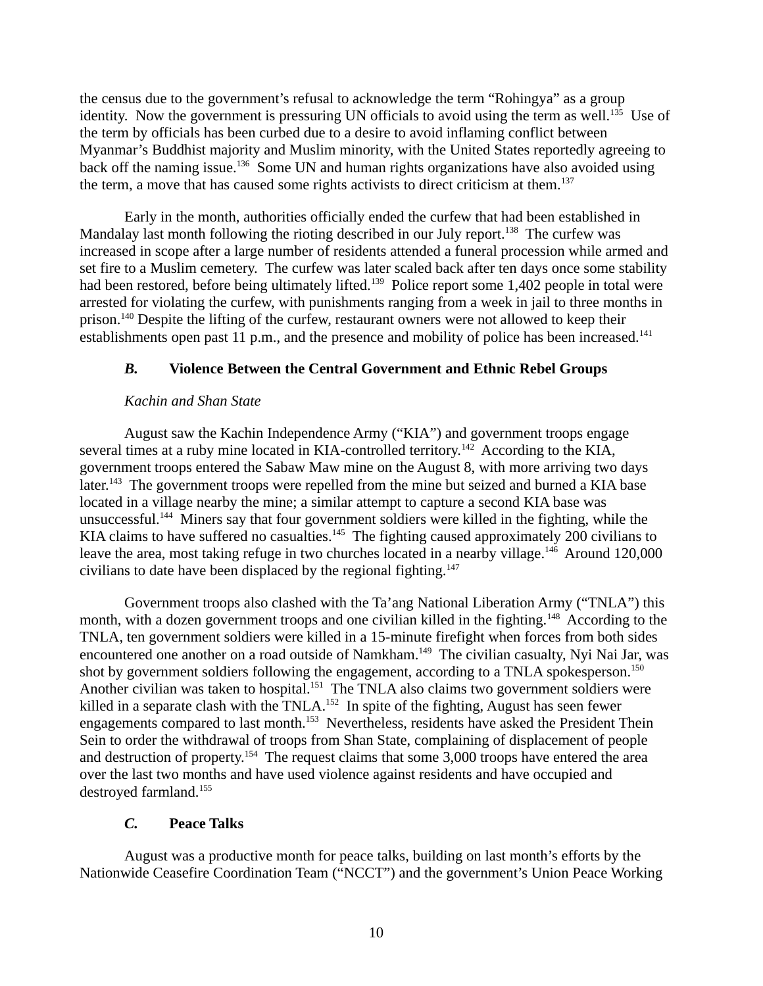the census due to the government's refusal to acknowledge the term "Rohingya" as a group identity. Now the government is pressuring UN officials to avoid using the term as well.<sup>135</sup> Use of the term by officials has been curbed due to a desire to avoid inflaming conflict between Myanmar's Buddhist majority and Muslim minority, with the United States reportedly agreeing to back off the naming issue.<sup>136</sup> Some UN and human rights organizations have also avoided using the term, a move that has caused some rights activists to direct criticism at them.<sup>137</sup>

Early in the month, authorities officially ended the curfew that had been established in Mandalay last month following the rioting described in our July report.<sup>138</sup> The curfew was increased in scope after a large number of residents attended a funeral procession while armed and set fire to a Muslim cemetery. The curfew was later scaled back after ten days once some stability had been restored, before being ultimately lifted.<sup>139</sup> Police report some 1,402 people in total were arrested for violating the curfew, with punishments ranging from a week in jail to three months in prison.<sup>140</sup> Despite the lifting of the curfew, restaurant owners were not allowed to keep their establishments open past 11 p.m., and the presence and mobility of police has been increased.<sup>141</sup>

# *B.* **Violence Between the Central Government and Ethnic Rebel Groups**

# *Kachin and Shan State*

August saw the Kachin Independence Army ("KIA") and government troops engage several times at a ruby mine located in KIA-controlled territory.<sup>142</sup> According to the KIA, government troops entered the Sabaw Maw mine on the August 8, with more arriving two days later.<sup>143</sup> The government troops were repelled from the mine but seized and burned a KIA base located in a village nearby the mine; a similar attempt to capture a second KIA base was unsuccessful.<sup>144</sup> Miners say that four government soldiers were killed in the fighting, while the KIA claims to have suffered no casualties.<sup>145</sup> The fighting caused approximately 200 civilians to leave the area, most taking refuge in two churches located in a nearby village.<sup>146</sup> Around 120,000 civilians to date have been displaced by the regional fighting.<sup>147</sup>

Government troops also clashed with the Ta'ang National Liberation Army ("TNLA") this month, with a dozen government troops and one civilian killed in the fighting.<sup>148</sup> According to the TNLA, ten government soldiers were killed in a 15-minute firefight when forces from both sides encountered one another on a road outside of Namkham.<sup>149</sup> The civilian casualty, Nyi Nai Jar, was shot by government soldiers following the engagement, according to a TNLA spokesperson.<sup>150</sup> Another civilian was taken to hospital.<sup>151</sup> The TNLA also claims two government soldiers were killed in a separate clash with the TNLA.<sup>152</sup> In spite of the fighting, August has seen fewer engagements compared to last month.<sup>153</sup> Nevertheless, residents have asked the President Thein Sein to order the withdrawal of troops from Shan State, complaining of displacement of people and destruction of property.<sup>154</sup> The request claims that some 3,000 troops have entered the area over the last two months and have used violence against residents and have occupied and destroyed farmland.<sup>155</sup>

# *C.* **Peace Talks**

August was a productive month for peace talks, building on last month's efforts by the Nationwide Ceasefire Coordination Team ("NCCT") and the government's Union Peace Working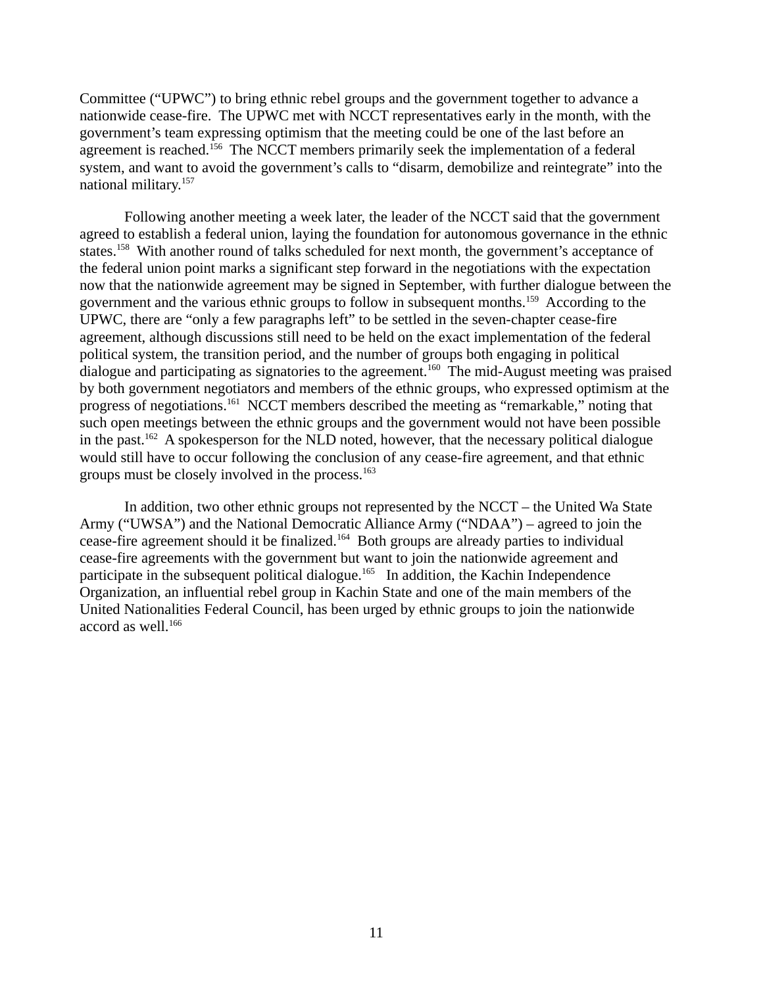Committee ("UPWC") to bring ethnic rebel groups and the government together to advance a nationwide cease-fire. The UPWC met with NCCT representatives early in the month, with the government's team expressing optimism that the meeting could be one of the last before an agreement is reached.<sup>156</sup> The NCCT members primarily seek the implementation of a federal system, and want to avoid the government's calls to "disarm, demobilize and reintegrate" into the national military.<sup>157</sup>

Following another meeting a week later, the leader of the NCCT said that the government agreed to establish a federal union, laying the foundation for autonomous governance in the ethnic states.<sup>158</sup> With another round of talks scheduled for next month, the government's acceptance of the federal union point marks a significant step forward in the negotiations with the expectation now that the nationwide agreement may be signed in September, with further dialogue between the government and the various ethnic groups to follow in subsequent months.<sup>159</sup> According to the UPWC, there are "only a few paragraphs left" to be settled in the seven-chapter cease-fire agreement, although discussions still need to be held on the exact implementation of the federal political system, the transition period, and the number of groups both engaging in political dialogue and participating as signatories to the agreement.<sup>160</sup> The mid-August meeting was praised by both government negotiators and members of the ethnic groups, who expressed optimism at the progress of negotiations.<sup>161</sup> NCCT members described the meeting as "remarkable," noting that such open meetings between the ethnic groups and the government would not have been possible in the past.<sup>162</sup> A spokesperson for the NLD noted, however, that the necessary political dialogue would still have to occur following the conclusion of any cease-fire agreement, and that ethnic groups must be closely involved in the process.<sup>163</sup>

In addition, two other ethnic groups not represented by the NCCT – the United Wa State Army ("UWSA") and the National Democratic Alliance Army ("NDAA") – agreed to join the cease-fire agreement should it be finalized.<sup>164</sup> Both groups are already parties to individual cease-fire agreements with the government but want to join the nationwide agreement and participate in the subsequent political dialogue.<sup>165</sup> In addition, the Kachin Independence Organization, an influential rebel group in Kachin State and one of the main members of the United Nationalities Federal Council, has been urged by ethnic groups to join the nationwide accord as well.<sup>166</sup>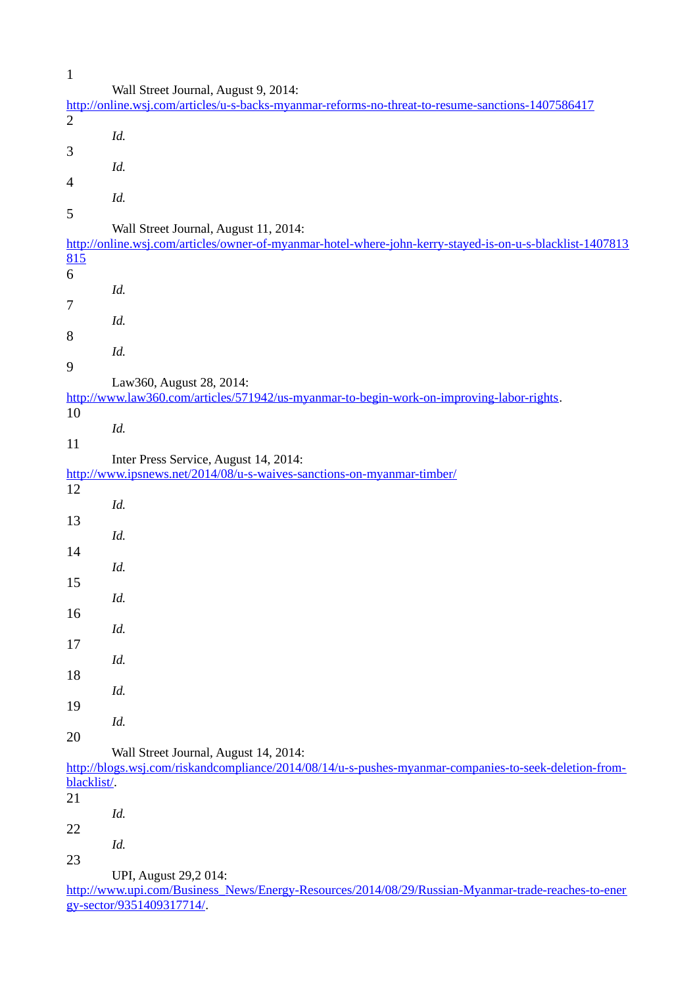| $\mathbf{1}$                                                                                                                    |
|---------------------------------------------------------------------------------------------------------------------------------|
| Wall Street Journal, August 9, 2014:                                                                                            |
| http://online.wsj.com/articles/u-s-backs-myanmar-reforms-no-threat-to-resume-sanctions-1407586417                               |
| $\overline{2}$                                                                                                                  |
| Id.                                                                                                                             |
| 3<br>Id.                                                                                                                        |
| 4                                                                                                                               |
| Id.                                                                                                                             |
| 5                                                                                                                               |
| Wall Street Journal, August 11, 2014:                                                                                           |
| http://online.wsj.com/articles/owner-of-myanmar-hotel-where-john-kerry-stayed-is-on-u-s-blacklist-1407813                       |
| 815<br>6                                                                                                                        |
| Id.                                                                                                                             |
| 7                                                                                                                               |
| Id.                                                                                                                             |
| 8                                                                                                                               |
| Id.                                                                                                                             |
| 9                                                                                                                               |
| Law360, August 28, 2014:                                                                                                        |
| http://www.law360.com/articles/571942/us-myanmar-to-begin-work-on-improving-labor-rights.<br>10                                 |
| Id.                                                                                                                             |
| 11                                                                                                                              |
| Inter Press Service, August 14, 2014:                                                                                           |
| http://www.ipsnews.net/2014/08/u-s-waives-sanctions-on-myanmar-timber/                                                          |
| 12                                                                                                                              |
| Id.                                                                                                                             |
| 13<br>Id.                                                                                                                       |
| 14                                                                                                                              |
| Id.                                                                                                                             |
| 15                                                                                                                              |
| Id.                                                                                                                             |
| 16                                                                                                                              |
| Id.                                                                                                                             |
| 17<br>Id.                                                                                                                       |
| 18                                                                                                                              |
| Id.                                                                                                                             |
| 19                                                                                                                              |
| Id.                                                                                                                             |
| 20                                                                                                                              |
| Wall Street Journal, August 14, 2014:                                                                                           |
| http://blogs.wsj.com/riskandcompliance/2014/08/14/u-s-pushes-myanmar-companies-to-seek-deletion-from-<br>blacklist/.            |
| 21                                                                                                                              |
| Id.                                                                                                                             |
| 22                                                                                                                              |
| Id.                                                                                                                             |
| 23                                                                                                                              |
| <b>UPI, August 29,2014:</b>                                                                                                     |
| http://www.upi.com/Business_News/Energy-Resources/2014/08/29/Russian-Myanmar-trade-reaches-to-ener<br>gy-sector/9351409317714/. |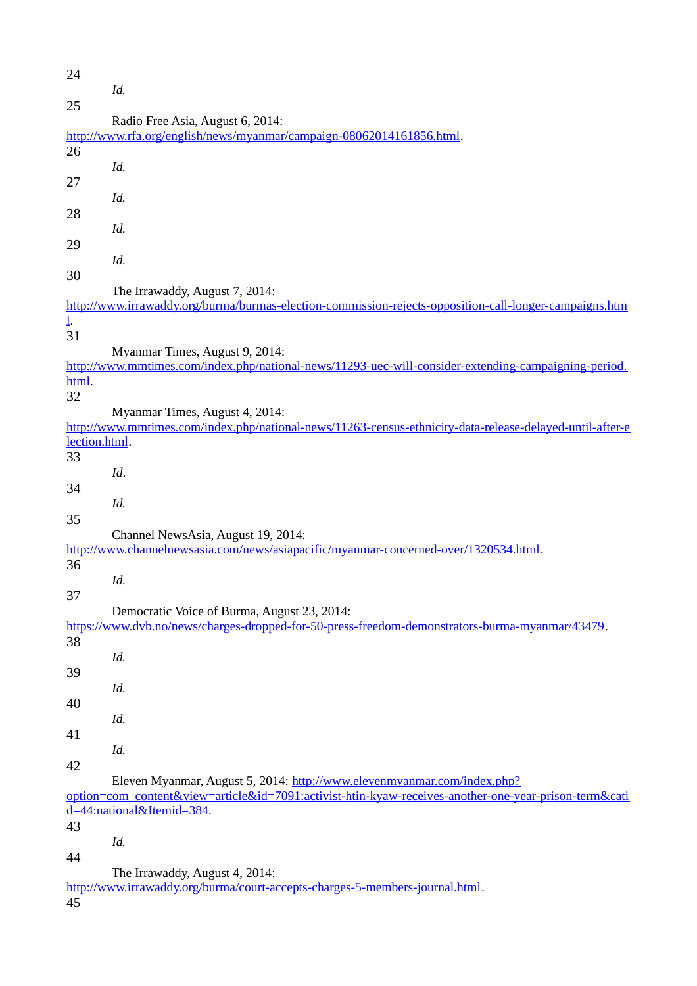24 *Id.* 25 Radio Free Asia, August 6, 2014: [http://www.rfa.org/english/news/myanmar/campaign-08062014161856.html.](http://www.rfa.org/english/news/myanmar/campaign-08062014161856.html) 26 *Id.* 27 *Id.* 28 *Id.* 29 *Id.* 30 The Irrawaddy, August 7, 2014: [http://www.irrawaddy.org/burma/burmas-election-commission-rejects-opposition-call-longer-campaigns.htm](http://www.irrawaddy.org/burma/burmas-election-commission-rejects-opposition-call-longer-campaigns.html) [l.](http://www.irrawaddy.org/burma/burmas-election-commission-rejects-opposition-call-longer-campaigns.html) 31 Myanmar Times, August 9, 2014: [http://www.mmtimes.com/index.php/national-news/11293-uec-will-consider-extending-campaigning-period.](http://www.mmtimes.com/index.php/national-news/11293-uec-will-consider-extending-campaigning-period.html) [html.](http://www.mmtimes.com/index.php/national-news/11293-uec-will-consider-extending-campaigning-period.html) 32 Myanmar Times, August 4, 2014: [http://www.mmtimes.com/index.php/national-news/11263-census-ethnicity-data-release-delayed-until-after-e](http://www.mmtimes.com/index.php/national-news/11263-census-ethnicity-data-release-delayed-until-after-election.html) [lection.html.](http://www.mmtimes.com/index.php/national-news/11263-census-ethnicity-data-release-delayed-until-after-election.html) 33 *Id*. 34 *Id.* 35 Channel NewsAsia, August 19, 2014: [http://www.channelnewsasia.com/news/asiapacific/myanmar-concerned-over/1320534.html.](http://www.channelnewsasia.com/news/asiapacific/myanmar-concerned-over/1320534.html) 36 *Id.* 37 Democratic Voice of Burma, August 23, 2014: [https://www.dvb.no/news/charges-dropped-for-50-press-freedom-demonstrators-burma-myanmar/43479.](https://www.dvb.no/news/charges-dropped-for-50-press-freedom-demonstrators-burma-myanmar/43479) 38 *Id.* 39 *Id.* 40 *Id.* 41 *Id.* 42 Eleven Myanmar, August 5, 2014: [http://www.elevenmyanmar.com/index.php?](http://www.elevenmyanmar.com/index.php?option=com_content&view=article&id=7091:activist-htin-kyaw-receives-another-one-year-prison-term&catid=44:national&Itemid=384) [option=com\\_content&view=article&id=7091:activist-htin-kyaw-receives-another-one-year-prison-term&cati](http://www.elevenmyanmar.com/index.php?option=com_content&view=article&id=7091:activist-htin-kyaw-receives-another-one-year-prison-term&catid=44:national&Itemid=384) [d=44:national&Itemid=384.](http://www.elevenmyanmar.com/index.php?option=com_content&view=article&id=7091:activist-htin-kyaw-receives-another-one-year-prison-term&catid=44:national&Itemid=384) 43 *Id.* 44 The Irrawaddy, August 4, 2014: [http://www.irrawaddy.org/burma/court-accepts-charges-5-members-journal.html.](http://www.irrawaddy.org/burma/court-accepts-charges-5-members-journal.html) 45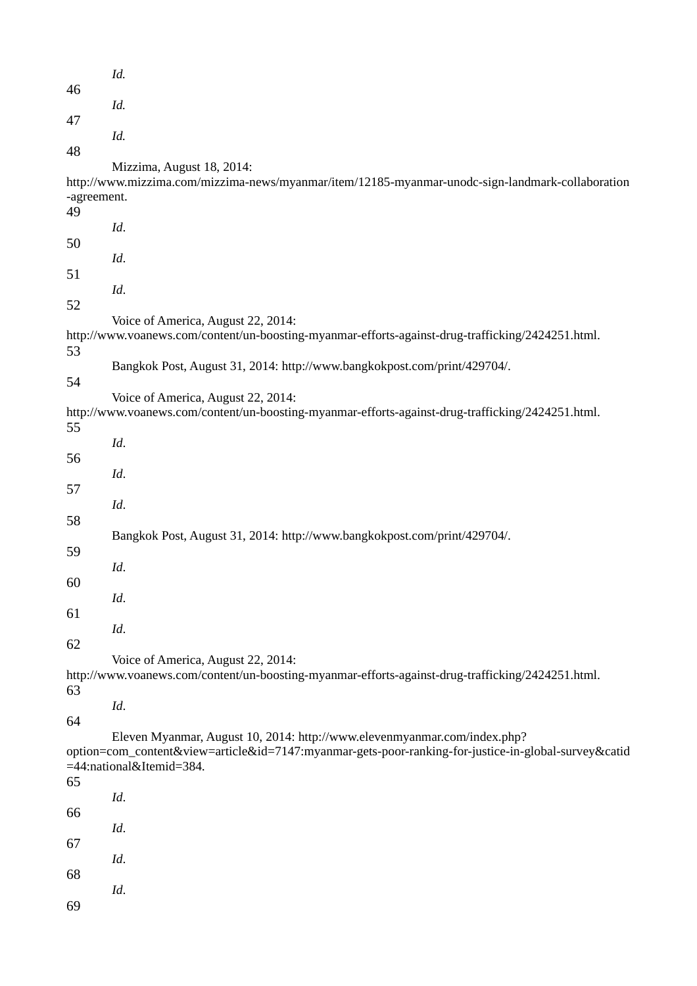|                   | Id.                                                                                                                                                                              |
|-------------------|----------------------------------------------------------------------------------------------------------------------------------------------------------------------------------|
| 46                | Id.                                                                                                                                                                              |
| 47                | Id.                                                                                                                                                                              |
| 48                |                                                                                                                                                                                  |
| -agreement.<br>49 | Mizzima, August 18, 2014:<br>http://www.mizzima.com/mizzima-news/myanmar/item/12185-myanmar-unodc-sign-landmark-collaboration                                                    |
|                   | Id.                                                                                                                                                                              |
| 50                | Id.                                                                                                                                                                              |
| 51                | Id.                                                                                                                                                                              |
| 52                |                                                                                                                                                                                  |
| 53                | Voice of America, August 22, 2014:<br>http://www.voanews.com/content/un-boosting-myanmar-efforts-against-drug-trafficking/2424251.html.                                          |
|                   | Bangkok Post, August 31, 2014: http://www.bangkokpost.com/print/429704/.                                                                                                         |
| 54                | Voice of America, August 22, 2014:                                                                                                                                               |
| 55                | http://www.voanews.com/content/un-boosting-myanmar-efforts-against-drug-trafficking/2424251.html.<br>Id.                                                                         |
| 56                |                                                                                                                                                                                  |
| 57                | Id.                                                                                                                                                                              |
| 58                | Id.                                                                                                                                                                              |
| 59                | Bangkok Post, August 31, 2014: http://www.bangkokpost.com/print/429704/.                                                                                                         |
|                   | Id.                                                                                                                                                                              |
| 60                | Id.                                                                                                                                                                              |
| 61                | Id.                                                                                                                                                                              |
| 62                |                                                                                                                                                                                  |
| 63                | Voice of America, August 22, 2014:<br>http://www.voanews.com/content/un-boosting-myanmar-efforts-against-drug-trafficking/2424251.html.                                          |
| 64                | Id.                                                                                                                                                                              |
|                   | Eleven Myanmar, August 10, 2014: http://www.elevenmyanmar.com/index.php?<br>option=com_content&view=article&id=7147:myanmar-gets-poor-ranking-for-justice-in-global-survey&catid |
| 65                | =44:national&Itemid=384.                                                                                                                                                         |
| 66                | Id.                                                                                                                                                                              |
|                   | Id.                                                                                                                                                                              |
| 67                | Id.                                                                                                                                                                              |
| 68                | Id.                                                                                                                                                                              |
| 69                |                                                                                                                                                                                  |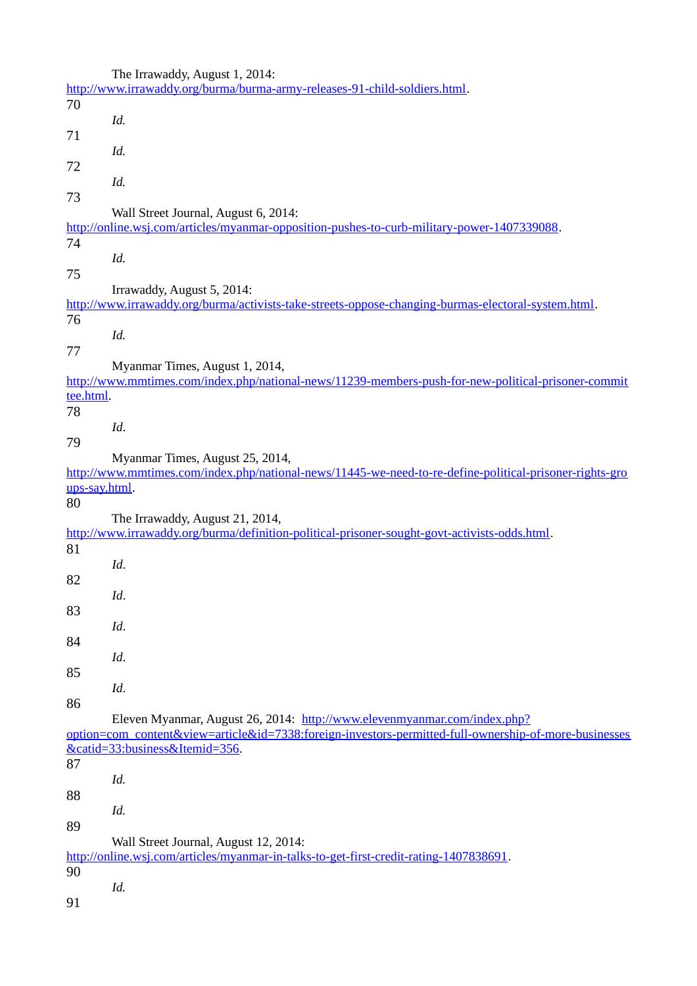|               | The Irrawaddy, August 1, 2014:                                                                          |
|---------------|---------------------------------------------------------------------------------------------------------|
|               | http://www.irrawaddy.org/burma/burma-army-releases-91-child-soldiers.html.                              |
| 70            |                                                                                                         |
|               | Id.                                                                                                     |
| 71            |                                                                                                         |
|               |                                                                                                         |
|               | Id.                                                                                                     |
| 72            |                                                                                                         |
|               | Id.                                                                                                     |
| 73            |                                                                                                         |
|               |                                                                                                         |
|               | Wall Street Journal, August 6, 2014:                                                                    |
|               | http://online.wsj.com/articles/myanmar-opposition-pushes-to-curb-military-power-1407339088.             |
| 74            |                                                                                                         |
|               | Id.                                                                                                     |
| 75            |                                                                                                         |
|               |                                                                                                         |
|               | Irrawaddy, August 5, 2014:                                                                              |
|               | http://www.irrawaddy.org/burma/activists-take-streets-oppose-changing-burmas-electoral-system.html.     |
| 76            |                                                                                                         |
|               | Id.                                                                                                     |
|               |                                                                                                         |
| 77            |                                                                                                         |
|               | Myanmar Times, August 1, 2014,                                                                          |
|               | http://www.mmtimes.com/index.php/national-news/11239-members-push-for-new-political-prisoner-commit     |
| tee.html.     |                                                                                                         |
| 78            |                                                                                                         |
|               | Id.                                                                                                     |
|               |                                                                                                         |
| 79            |                                                                                                         |
|               | Myanmar Times, August 25, 2014,                                                                         |
|               | http://www.mmtimes.com/index.php/national-news/11445-we-need-to-re-define-political-prisoner-rights-gro |
| ups-say.html. |                                                                                                         |
|               |                                                                                                         |
| 80            |                                                                                                         |
|               | The Irrawaddy, August 21, 2014,                                                                         |
|               | http://www.irrawaddy.org/burma/definition-political-prisoner-sought-govt-activists-odds.html.           |
| 81            |                                                                                                         |
|               | Id.                                                                                                     |
|               |                                                                                                         |
| 82            |                                                                                                         |
|               | Id.                                                                                                     |
| 83            |                                                                                                         |
|               | Id.                                                                                                     |
| 84            |                                                                                                         |
|               |                                                                                                         |
|               | Id.                                                                                                     |
| 85            |                                                                                                         |
|               | Id.                                                                                                     |
| 86            |                                                                                                         |
|               |                                                                                                         |
|               | Eleven Myanmar, August 26, 2014: http://www.elevenmyanmar.com/index.php?                                |
|               | option=com_content&view=article&id=7338:foreign-investors-permitted-full-ownership-of-more-businesses   |
|               | &catid=33:business&Itemid=356.                                                                          |
| 87            |                                                                                                         |
|               | Id.                                                                                                     |
|               |                                                                                                         |
| 88            |                                                                                                         |
|               | Id.                                                                                                     |
| 89            |                                                                                                         |
|               | Wall Street Journal, August 12, 2014:                                                                   |
|               | http://online.wsj.com/articles/myanmar-in-talks-to-get-first-credit-rating-1407838691.                  |
|               |                                                                                                         |
| 90            |                                                                                                         |
|               | Id.                                                                                                     |
| 91            |                                                                                                         |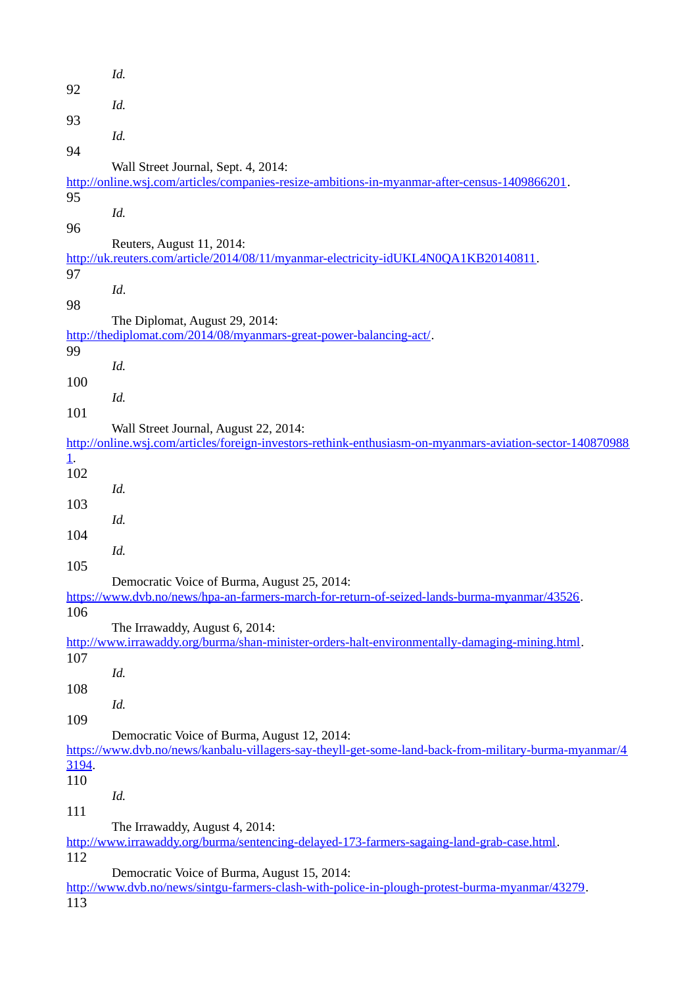|           | Id.                                                                                                                                                |
|-----------|----------------------------------------------------------------------------------------------------------------------------------------------------|
| 92        |                                                                                                                                                    |
| 93        | Id.                                                                                                                                                |
|           | Id.                                                                                                                                                |
| 94        |                                                                                                                                                    |
|           | Wall Street Journal, Sept. 4, 2014:<br>http://online.wsj.com/articles/companies-resize-ambitions-in-myanmar-after-census-1409866201.               |
| 95        |                                                                                                                                                    |
|           | Id.                                                                                                                                                |
| 96        |                                                                                                                                                    |
|           | Reuters, August 11, 2014:                                                                                                                          |
| 97        | http://uk.reuters.com/article/2014/08/11/myanmar-electricity-idUKL4N0QA1KB20140811.                                                                |
|           | Id.                                                                                                                                                |
| 98        |                                                                                                                                                    |
|           | The Diplomat, August 29, 2014:                                                                                                                     |
| 99        | http://thediplomat.com/2014/08/myanmars-great-power-balancing-act/.                                                                                |
|           | Id.                                                                                                                                                |
| 100       |                                                                                                                                                    |
|           | Id.                                                                                                                                                |
| 101       |                                                                                                                                                    |
|           | Wall Street Journal, August 22, 2014:<br>http://online.wsj.com/articles/foreign-investors-rethink-enthusiasm-on-myanmars-aviation-sector-140870988 |
| $\perp$ . |                                                                                                                                                    |
| 102       |                                                                                                                                                    |
|           | Id.                                                                                                                                                |
| 103       | Id.                                                                                                                                                |
| 104       |                                                                                                                                                    |
|           | Id.                                                                                                                                                |
| 105       |                                                                                                                                                    |
|           | Democratic Voice of Burma, August 25, 2014:<br>https://www.dvb.no/news/hpa-an-farmers-march-for-return-of-seized-lands-burma-myanmar/43526.        |
| 106       |                                                                                                                                                    |
|           | The Irrawaddy, August 6, 2014:                                                                                                                     |
|           | http://www.irrawaddy.org/burma/shan-minister-orders-halt-environmentally-damaging-mining.html.                                                     |
| 107       |                                                                                                                                                    |
| 108       | Id.                                                                                                                                                |
|           | Id.                                                                                                                                                |
| 109       |                                                                                                                                                    |
|           | Democratic Voice of Burma, August 12, 2014:                                                                                                        |
| 3194.     | https://www.dvb.no/news/kanbalu-villagers-say-theyll-get-some-land-back-from-military-burma-myanmar/4                                              |
| 110       |                                                                                                                                                    |
|           | Id.                                                                                                                                                |
| 111       |                                                                                                                                                    |
|           | The Irrawaddy, August 4, 2014:                                                                                                                     |
| 112       | http://www.irrawaddy.org/burma/sentencing-delayed-173-farmers-sagaing-land-grab-case.html.                                                         |
|           | Democratic Voice of Burma, August 15, 2014:                                                                                                        |
|           | http://www.dvb.no/news/sintgu-farmers-clash-with-police-in-plough-protest-burma-myanmar/43279.                                                     |
| 113       |                                                                                                                                                    |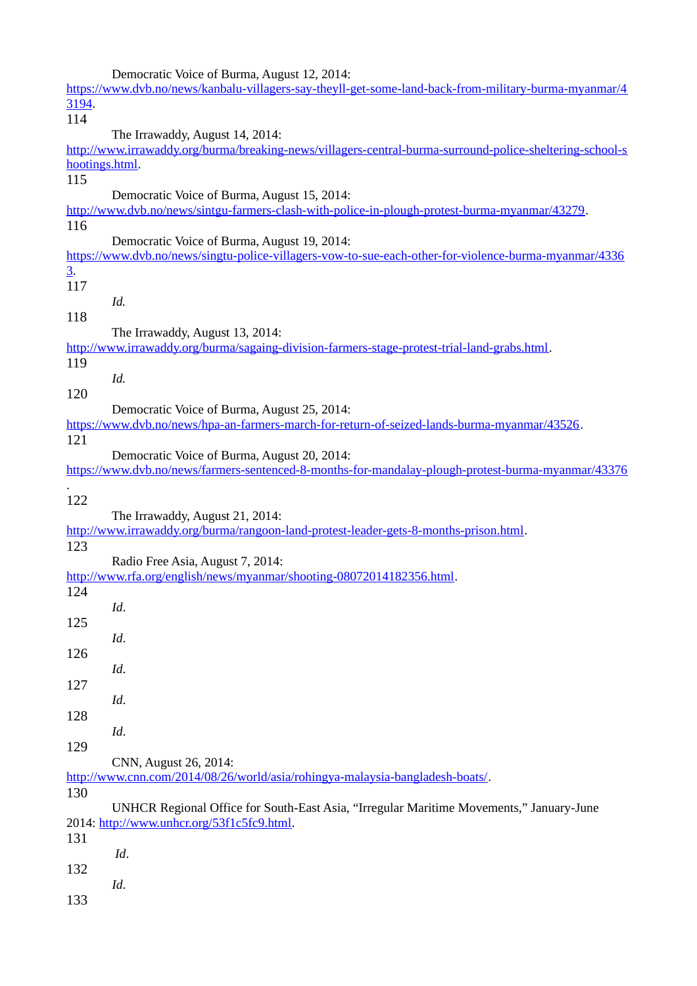|                | Democratic Voice of Burma, August 12, 2014:                                                              |
|----------------|----------------------------------------------------------------------------------------------------------|
|                | https://www.dvb.no/news/kanbalu-villagers-say-theyll-get-some-land-back-from-military-burma-myanmar/4    |
| 3194.          |                                                                                                          |
| 114            |                                                                                                          |
|                | The Irrawaddy, August 14, 2014:                                                                          |
|                | http://www.irrawaddy.org/burma/breaking-news/villagers-central-burma-surround-police-sheltering-school-s |
| hootings.html. |                                                                                                          |
| 115            |                                                                                                          |
|                | Democratic Voice of Burma, August 15, 2014:                                                              |
|                | http://www.dvb.no/news/sintgu-farmers-clash-with-police-in-plough-protest-burma-myanmar/43279.           |
| 116            |                                                                                                          |
|                | Democratic Voice of Burma, August 19, 2014:                                                              |
|                | https://www.dvb.no/news/singtu-police-villagers-vow-to-sue-each-other-for-violence-burma-myanmar/4336    |
| <u>3</u> .     |                                                                                                          |
| 117            |                                                                                                          |
|                | Id.                                                                                                      |
| 118            |                                                                                                          |
|                | The Irrawaddy, August 13, 2014:                                                                          |
|                | http://www.irrawaddy.org/burma/sagaing-division-farmers-stage-protest-trial-land-grabs.html.             |
| 119            |                                                                                                          |
|                | Id.                                                                                                      |
| 120            |                                                                                                          |
|                | Democratic Voice of Burma, August 25, 2014:                                                              |
|                | <u>https://www.dvb.no/news/hpa-an-farmers-march-for-return-of-seized-lands-burma-myanmar/43526.</u>      |
| 121            |                                                                                                          |
|                | Democratic Voice of Burma, August 20, 2014:                                                              |
|                | https://www.dvb.no/news/farmers-sentenced-8-months-for-mandalay-plough-protest-burma-myanmar/43376       |
|                |                                                                                                          |
|                |                                                                                                          |
|                |                                                                                                          |
|                |                                                                                                          |
| 122            | The Irrawaddy, August 21, 2014:                                                                          |
|                | http://www.irrawaddy.org/burma/rangoon-land-protest-leader-gets-8-months-prison.html.                    |
| 123            |                                                                                                          |
|                | Radio Free Asia, August 7, 2014:                                                                         |
|                | http://www.rfa.org/english/news/myanmar/shooting-08072014182356.html.                                    |
| 124            |                                                                                                          |
|                | Id.                                                                                                      |
|                |                                                                                                          |
|                | Id.                                                                                                      |
|                |                                                                                                          |
| 125<br>126     | Id.                                                                                                      |
| 127            |                                                                                                          |
|                | Id.                                                                                                      |
| 128            |                                                                                                          |
|                | Id.                                                                                                      |
|                |                                                                                                          |
| 129            |                                                                                                          |
|                | CNN, August 26, 2014:                                                                                    |
| 130            | <u>http://www.cnn.com/2014/08/26/world/asia/rohingya-malaysia-bangladesh-boats/</u> .                    |
|                |                                                                                                          |
|                | UNHCR Regional Office for South-East Asia, "Irregular Maritime Movements," January-June                  |
|                | 2014: http://www.unhcr.org/53f1c5fc9.html.                                                               |
| 131            |                                                                                                          |
|                | Id.                                                                                                      |
| 132            |                                                                                                          |
| 133            | Id.                                                                                                      |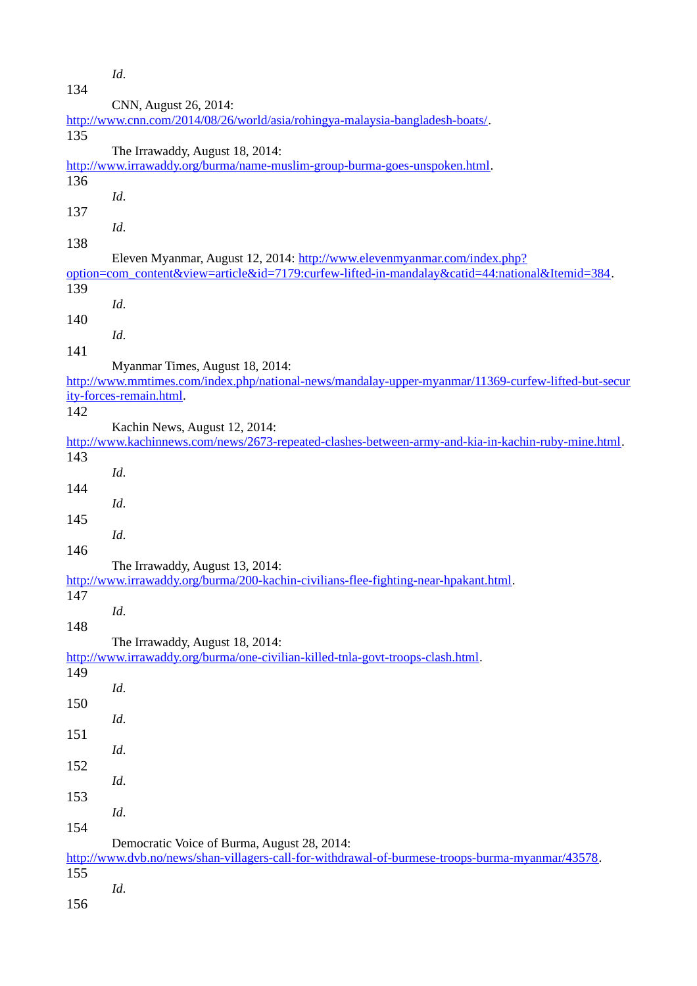|     | Id.                                                                                                 |
|-----|-----------------------------------------------------------------------------------------------------|
| 134 | CNN, August 26, 2014:                                                                               |
|     | http://www.cnn.com/2014/08/26/world/asia/rohingya-malaysia-bangladesh-boats/.                       |
| 135 |                                                                                                     |
|     | The Irrawaddy, August 18, 2014:                                                                     |
|     | http://www.irrawaddy.org/burma/name-muslim-group-burma-goes-unspoken.html.                          |
| 136 |                                                                                                     |
|     | Id.                                                                                                 |
| 137 |                                                                                                     |
|     |                                                                                                     |
|     | Id.                                                                                                 |
| 138 |                                                                                                     |
|     | Eleven Myanmar, August 12, 2014: http://www.elevenmyanmar.com/index.php?                            |
|     | option=com_content&view=article&id=7179:curfew-lifted-in-mandalay&catid=44:national&Itemid=384.     |
| 139 |                                                                                                     |
|     | Id.                                                                                                 |
| 140 |                                                                                                     |
|     | Id.                                                                                                 |
| 141 |                                                                                                     |
|     | Myanmar Times, August 18, 2014:                                                                     |
|     | http://www.mmtimes.com/index.php/national-news/mandalay-upper-myanmar/11369-curfew-lifted-but-secur |
|     | ity-forces-remain.html.                                                                             |
|     |                                                                                                     |
| 142 |                                                                                                     |
|     | Kachin News, August 12, 2014:                                                                       |
|     | http://www.kachinnews.com/news/2673-repeated-clashes-between-army-and-kia-in-kachin-ruby-mine.html. |
| 143 |                                                                                                     |
|     | Id.                                                                                                 |
| 144 |                                                                                                     |
|     | Id.                                                                                                 |
| 145 |                                                                                                     |
|     | Id.                                                                                                 |
| 146 |                                                                                                     |
|     | The Irrawaddy, August 13, 2014:                                                                     |
|     | <u>http://www.irrawaddy.org/burma/200-kachin-civilians-flee-fighting-near-hpakant.html.</u>         |
| 147 |                                                                                                     |
|     | Id.                                                                                                 |
|     |                                                                                                     |
| 148 |                                                                                                     |
|     | The Irrawaddy, August 18, 2014:                                                                     |
|     | http://www.irrawaddy.org/burma/one-civilian-killed-tnla-govt-troops-clash.html.                     |
| 149 |                                                                                                     |
|     | Id.                                                                                                 |
| 150 |                                                                                                     |
|     | Id.                                                                                                 |
| 151 |                                                                                                     |
|     | Id.                                                                                                 |
| 152 |                                                                                                     |
|     | Id.                                                                                                 |
| 153 |                                                                                                     |
|     | Id.                                                                                                 |
|     |                                                                                                     |
| 154 |                                                                                                     |
|     | Democratic Voice of Burma, August 28, 2014:                                                         |
|     | http://www.dvb.no/news/shan-villagers-call-for-withdrawal-of-burmese-troops-burma-myanmar/43578.    |
| 155 |                                                                                                     |
|     | Id.                                                                                                 |

156